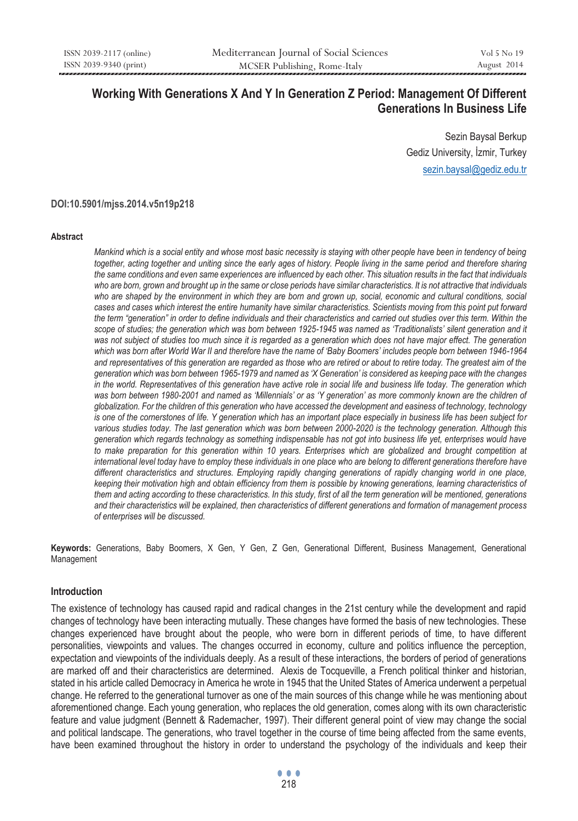# **Working With Generations X And Y In Generation Z Period: Management Of Different Generations In Business Life**

Sezin Baysal Berkup Gediz University, İzmir, Turkey sezin.baysal@gediz.edu.tr

#### **DOI:10.5901/mjss.2014.v5n19p218**

#### **Abstract**

*Mankind which is a social entity and whose most basic necessity is staying with other people have been in tendency of being together, acting together and uniting since the early ages of history. People living in the same period and therefore sharing the same conditions and even same experiences are influenced by each other. This situation results in the fact that individuals who are born, grown and brought up in the same or close periods have similar characteristics. It is not attractive that individuals*  who are shaped by the environment in which they are born and grown up, social, economic and cultural conditions, social *cases and cases which interest the entire humanity have similar characteristics. Scientists moving from this point put forward the term "generation" in order to define individuals and their characteristics and carried out studies over this term. Within the scope of studies; the generation which was born between 1925-1945 was named as 'Traditionalists' silent generation and it*  was not subject of studies too much since it is regarded as a generation which does not have major effect. The generation *which was born after World War II and therefore have the name of 'Baby Boomers' includes people born between 1946-1964 and representatives of this generation are regarded as those who are retired or about to retire today. The greatest aim of the generation which was born between 1965-1979 and named as 'X Generation' is considered as keeping pace with the changes in the world. Representatives of this generation have active role in social life and business life today. The generation which was born between 1980-2001 and named as 'Millennials' or as 'Y generation' as more commonly known are the children of globalization. For the children of this generation who have accessed the development and easiness of technology, technology is one of the cornerstones of life. Y generation which has an important place especially in business life has been subject for various studies today. The last generation which was born between 2000-2020 is the technology generation. Although this generation which regards technology as something indispensable has not got into business life yet, enterprises would have*  to make preparation for this generation within 10 years. Enterprises which are globalized and brought competition at *international level today have to employ these individuals in one place who are belong to different generations therefore have different characteristics and structures. Employing rapidly changing generations of rapidly changing world in one place, keeping their motivation high and obtain efficiency from them is possible by knowing generations, learning characteristics of them and acting according to these characteristics. In this study, first of all the term generation will be mentioned, generations and their characteristics will be explained, then characteristics of different generations and formation of management process of enterprises will be discussed.* 

**Keywords:** Generations, Baby Boomers, X Gen, Y Gen, Z Gen, Generational Different, Business Management, Generational Management

#### **Introduction**

The existence of technology has caused rapid and radical changes in the 21st century while the development and rapid changes of technology have been interacting mutually. These changes have formed the basis of new technologies. These changes experienced have brought about the people, who were born in different periods of time, to have different personalities, viewpoints and values. The changes occurred in economy, culture and politics influence the perception, expectation and viewpoints of the individuals deeply. As a result of these interactions, the borders of period of generations are marked off and their characteristics are determined. Alexis de Tocqueville, a French political thinker and historian, stated in his article called Democracy in America he wrote in 1945 that the United States of America underwent a perpetual change. He referred to the generational turnover as one of the main sources of this change while he was mentioning about aforementioned change. Each young generation, who replaces the old generation, comes along with its own characteristic feature and value judgment (Bennett & Rademacher, 1997). Their different general point of view may change the social and political landscape. The generations, who travel together in the course of time being affected from the same events, have been examined throughout the history in order to understand the psychology of the individuals and keep their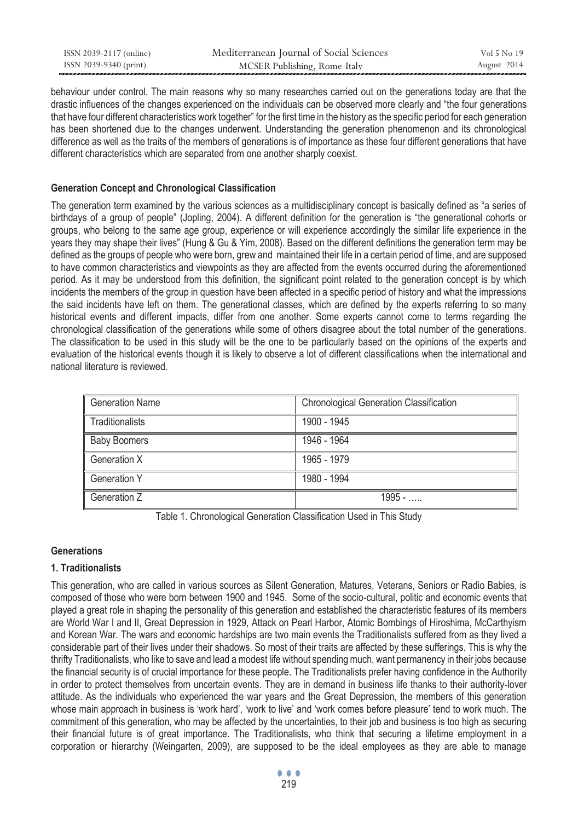| ISSN 2039-2117 (online) | Mediterranean Journal of Social Sciences | Vol 5 No 19 |
|-------------------------|------------------------------------------|-------------|
| ISSN 2039-9340 (print)  | MCSER Publishing, Rome-Italy             | August 2014 |

behaviour under control. The main reasons why so many researches carried out on the generations today are that the drastic influences of the changes experienced on the individuals can be observed more clearly and "the four generations that have four different characteristics work together" for the first time in the history as the specific period for each generation has been shortened due to the changes underwent. Understanding the generation phenomenon and its chronological difference as well as the traits of the members of generations is of importance as these four different generations that have different characteristics which are separated from one another sharply coexist.

# **Generation Concept and Chronological Classification**

The generation term examined by the various sciences as a multidisciplinary concept is basically defined as "a series of birthdays of a group of people" (Jopling, 2004). A different definition for the generation is "the generational cohorts or groups, who belong to the same age group, experience or will experience accordingly the similar life experience in the years they may shape their lives" (Hung & Gu & Yim, 2008). Based on the different definitions the generation term may be defined as the groups of people who were born, grew and maintained their life in a certain period of time, and are supposed to have common characteristics and viewpoints as they are affected from the events occurred during the aforementioned period. As it may be understood from this definition, the significant point related to the generation concept is by which incidents the members of the group in question have been affected in a specific period of history and what the impressions the said incidents have left on them. The generational classes, which are defined by the experts referring to so many historical events and different impacts, differ from one another. Some experts cannot come to terms regarding the chronological classification of the generations while some of others disagree about the total number of the generations. The classification to be used in this study will be the one to be particularly based on the opinions of the experts and evaluation of the historical events though it is likely to observe a lot of different classifications when the international and national literature is reviewed.

| <b>Generation Name</b> | Chronological Generation Classification |
|------------------------|-----------------------------------------|
| <b>Traditionalists</b> | 1900 - 1945                             |
| <b>Baby Boomers</b>    | 1946 - 1964                             |
| <b>Generation X</b>    | 1965 - 1979                             |
| <b>Generation Y</b>    | 1980 - 1994                             |
| Generation Z           | $1995 - $                               |

Table 1. Chronological Generation Classification Used in This Study

### **Generations**

# **1. Traditionalists**

This generation, who are called in various sources as Silent Generation, Matures, Veterans, Seniors or Radio Babies, is composed of those who were born between 1900 and 1945. Some of the socio-cultural, politic and economic events that played a great role in shaping the personality of this generation and established the characteristic features of its members are World War I and II, Great Depression in 1929, Attack on Pearl Harbor, Atomic Bombings of Hiroshima, McCarthyism and Korean War. The wars and economic hardships are two main events the Traditionalists suffered from as they lived a considerable part of their lives under their shadows. So most of their traits are affected by these sufferings. This is why the thrifty Traditionalists, who like to save and lead a modest life without spending much, want permanency in their jobs because the financial security is of crucial importance for these people. The Traditionalists prefer having confidence in the Authority in order to protect themselves from uncertain events. They are in demand in business life thanks to their authority-lover attitude. As the individuals who experienced the war years and the Great Depression, the members of this generation whose main approach in business is 'work hard', 'work to live' and 'work comes before pleasure' tend to work much. The commitment of this generation, who may be affected by the uncertainties, to their job and business is too high as securing their financial future is of great importance. The Traditionalists, who think that securing a lifetime employment in a corporation or hierarchy (Weingarten, 2009), are supposed to be the ideal employees as they are able to manage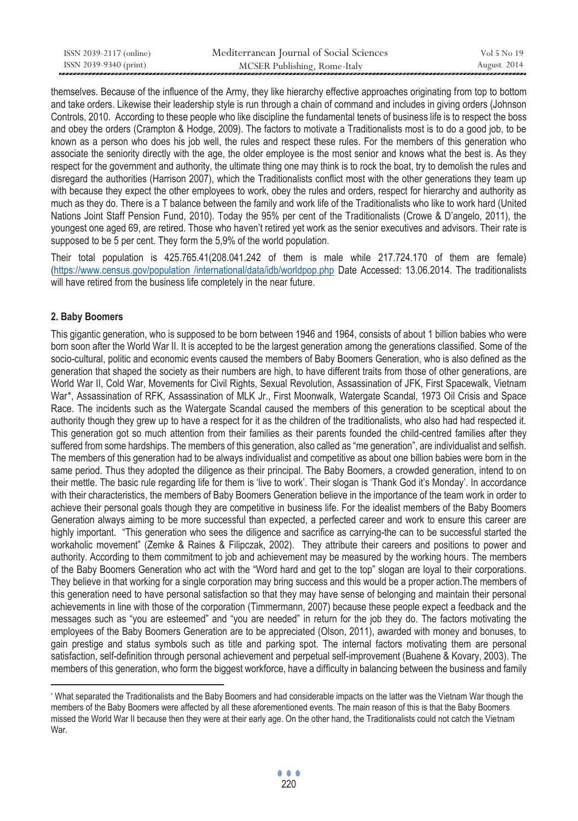| ISSN 2039-2117 (online) | Mediterranean Journal of Social Sciences | Vol 5 No 19 |
|-------------------------|------------------------------------------|-------------|
| ISSN 2039-9340 (print)  | MCSER Publishing, Rome-Italy             | August 2014 |

themselves. Because of the influence of the Army, they like hierarchy effective approaches originating from top to bottom and take orders. Likewise their leadership style is run through a chain of command and includes in giving orders (Johnson Controls, 2010. According to these people who like discipline the fundamental tenets of business life is to respect the boss and obey the orders (Crampton & Hodge, 2009). The factors to motivate a Traditionalists most is to do a good job, to be known as a person who does his job well, the rules and respect these rules. For the members of this generation who associate the seniority directly with the age, the older employee is the most senior and knows what the best is. As they respect for the government and authority, the ultimate thing one may think is to rock the boat, try to demolish the rules and disregard the authorities (Harrison 2007), which the Traditionalists conflict most with the other generations they team up with because they expect the other employees to work, obey the rules and orders, respect for hierarchy and authority as much as they do. There is a T balance between the family and work life of the Traditionalists who like to work hard (United Nations Joint Staff Pension Fund, 2010). Today the 95% per cent of the Traditionalists (Crowe & D'angelo, 2011), the youngest one aged 69, are retired. Those who haven't retired yet work as the senior executives and advisors. Their rate is supposed to be 5 per cent. They form the 5,9% of the world population.

Their total population is 425.765.41(208.041.242 of them is male while 217.724.170 of them are female) (https://www.census.gov/population /international/data/idb/worldpop.php Date Accessed: 13.06.2014. The traditionalists will have retired from the business life completely in the near future.

# **2. Baby Boomers**

 $\overline{a}$ 

This gigantic generation, who is supposed to be born between 1946 and 1964, consists of about 1 billion babies who were born soon after the World War II. It is accepted to be the largest generation among the generations classified. Some of the socio-cultural, politic and economic events caused the members of Baby Boomers Generation, who is also defined as the generation that shaped the society as their numbers are high, to have different traits from those of other generations, are World War II, Cold War, Movements for Civil Rights, Sexual Revolution, Assassination of JFK, First Spacewalk, Vietnam War<sup>\*</sup>, Assassination of RFK, Assassination of MLK Jr., First Moonwalk, Watergate Scandal, 1973 Oil Crisis and Space Race. The incidents such as the Watergate Scandal caused the members of this generation to be sceptical about the authority though they grew up to have a respect for it as the children of the traditionalists, who also had had respected it. This generation got so much attention from their families as their parents founded the child-centred families after they suffered from some hardships. The members of this generation, also called as "me generation", are individualist and selfish. The members of this generation had to be always individualist and competitive as about one billion babies were born in the same period. Thus they adopted the diligence as their principal. The Baby Boomers, a crowded generation, intend to on their mettle. The basic rule regarding life for them is 'live to work'. Their slogan is 'Thank God it's Monday'. In accordance with their characteristics, the members of Baby Boomers Generation believe in the importance of the team work in order to achieve their personal goals though they are competitive in business life. For the idealist members of the Baby Boomers Generation always aiming to be more successful than expected, a perfected career and work to ensure this career are highly important. "This generation who sees the diligence and sacrifice as carrying-the can to be successful started the workaholic movement" (Zemke & Raines & Filipczak, 2002). They attribute their careers and positions to power and authority. According to them commitment to job and achievement may be measured by the working hours. The members of the Baby Boomers Generation who act with the "Word hard and get to the top" slogan are loyal to their corporations. They believe in that working for a single corporation may bring success and this would be a proper action.The members of this generation need to have personal satisfaction so that they may have sense of belonging and maintain their personal achievements in line with those of the corporation (Timmermann, 2007) because these people expect a feedback and the messages such as "you are esteemed" and "you are needed" in return for the job they do. The factors motivating the employees of the Baby Boomers Generation are to be appreciated (Olson, 2011), awarded with money and bonuses, to gain prestige and status symbols such as title and parking spot. The internal factors motivating them are personal satisfaction, self-definition through personal achievement and perpetual self-improvement (Buahene & Kovary, 2003). The members of this generation, who form the biggest workforce, have a difficulty in balancing between the business and family

<sup>\*</sup> What separated the Traditionalists and the Baby Boomers and had considerable impacts on the latter was the Vietnam War though the members of the Baby Boomers were affected by all these aforementioned events. The main reason of this is that the Baby Boomers missed the World War II because then they were at their early age. On the other hand, the Traditionalists could not catch the Vietnam War.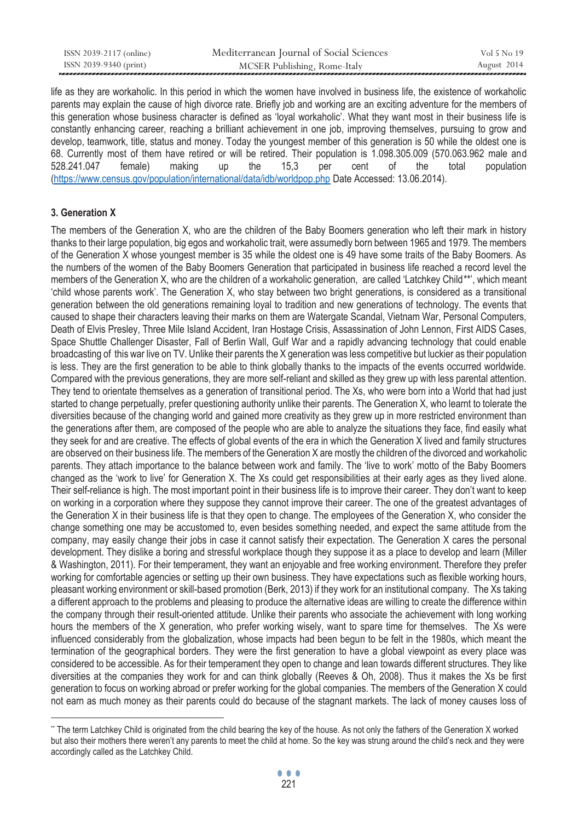| ISSN 2039-2117 (online) | Mediterranean Journal of Social Sciences | Vol 5 No 19 |
|-------------------------|------------------------------------------|-------------|
| ISSN 2039-9340 (print)  | MCSER Publishing, Rome-Italy             | August 2014 |

life as they are workaholic. In this period in which the women have involved in business life, the existence of workaholic parents may explain the cause of high divorce rate. Briefly job and working are an exciting adventure for the members of this generation whose business character is defined as 'loyal workaholic'. What they want most in their business life is constantly enhancing career, reaching a brilliant achievement in one job, improving themselves, pursuing to grow and develop, teamwork, title, status and money. Today the youngest member of this generation is 50 while the oldest one is 68. Currently most of them have retired or will be retired. Their population is 1.098.305.009 (570.063.962 male and 528.241.047 female) making up the 15,3 per cent of the total population (https://www.census.gov/population/international/data/idb/worldpop.php Date Accessed: 13.06.2014).

# **3. Generation X**

 $\overline{a}$ 

The members of the Generation X, who are the children of the Baby Boomers generation who left their mark in history thanks to their large population, big egos and workaholic trait, were assumedly born between 1965 and 1979. The members of the Generation X whose youngest member is 35 while the oldest one is 49 have some traits of the Baby Boomers. As the numbers of the women of the Baby Boomers Generation that participated in business life reached a record level the members of the Generation X, who are the children of a workaholic generation, are called 'Latchkey Child\*\*', which meant 'child whose parents work'. The Generation X, who stay between two bright generations, is considered as a transitional generation between the old generations remaining loyal to tradition and new generations of technology. The events that caused to shape their characters leaving their marks on them are Watergate Scandal, Vietnam War, Personal Computers, Death of Elvis Presley, Three Mile Island Accident, Iran Hostage Crisis, Assassination of John Lennon, First AIDS Cases, Space Shuttle Challenger Disaster, Fall of Berlin Wall, Gulf War and a rapidly advancing technology that could enable broadcasting of this war live on TV. Unlike their parents the X generation was less competitive but luckier as their population is less. They are the first generation to be able to think globally thanks to the impacts of the events occurred worldwide. Compared with the previous generations, they are more self-reliant and skilled as they grew up with less parental attention. They tend to orientate themselves as a generation of transitional period. The Xs, who were born into a World that had just started to change perpetually, prefer questioning authority unlike their parents. The Generation X, who learnt to tolerate the diversities because of the changing world and gained more creativity as they grew up in more restricted environment than the generations after them, are composed of the people who are able to analyze the situations they face, find easily what they seek for and are creative. The effects of global events of the era in which the Generation X lived and family structures are observed on their business life. The members of the Generation X are mostly the children of the divorced and workaholic parents. They attach importance to the balance between work and family. The 'live to work' motto of the Baby Boomers changed as the 'work to live' for Generation X. The Xs could get responsibilities at their early ages as they lived alone. Their self-reliance is high. The most important point in their business life is to improve their career. They don't want to keep on working in a corporation where they suppose they cannot improve their career. The one of the greatest advantages of the Generation X in their business life is that they open to change. The employees of the Generation X, who consider the change something one may be accustomed to, even besides something needed, and expect the same attitude from the company, may easily change their jobs in case it cannot satisfy their expectation. The Generation X cares the personal development. They dislike a boring and stressful workplace though they suppose it as a place to develop and learn (Miller & Washington, 2011). For their temperament, they want an enjoyable and free working environment. Therefore they prefer working for comfortable agencies or setting up their own business. They have expectations such as flexible working hours, pleasant working environment or skill-based promotion (Berk, 2013) if they work for an institutional company. The Xs taking a different approach to the problems and pleasing to produce the alternative ideas are willing to create the difference within the company through their result-oriented attitude. Unlike their parents who associate the achievement with long working hours the members of the X generation, who prefer working wisely, want to spare time for themselves. The Xs were influenced considerably from the globalization, whose impacts had been begun to be felt in the 1980s, which meant the termination of the geographical borders. They were the first generation to have a global viewpoint as every place was considered to be accessible. As for their temperament they open to change and lean towards different structures. They like diversities at the companies they work for and can think globally (Reeves & Oh, 2008). Thus it makes the Xs be first generation to focus on working abroad or prefer working for the global companies. The members of the Generation X could not earn as much money as their parents could do because of the stagnant markets. The lack of money causes loss of

<sup>\*\*</sup> The term Latchkey Child is originated from the child bearing the key of the house. As not only the fathers of the Generation X worked but also their mothers there weren't any parents to meet the child at home. So the key was strung around the child's neck and they were accordingly called as the Latchkey Child.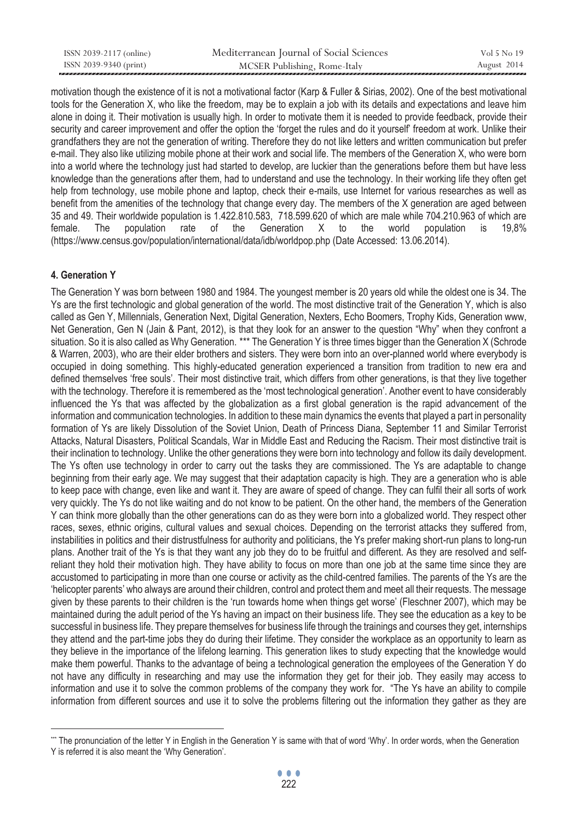| ISSN 2039-2117 (online) | Mediterranean Journal of Social Sciences | Vol 5 No 19 |
|-------------------------|------------------------------------------|-------------|
| ISSN 2039-9340 (print)  | MCSER Publishing, Rome-Italy             | August 2014 |

motivation though the existence of it is not a motivational factor (Karp & Fuller & Sirias, 2002). One of the best motivational tools for the Generation X, who like the freedom, may be to explain a job with its details and expectations and leave him alone in doing it. Their motivation is usually high. In order to motivate them it is needed to provide feedback, provide their security and career improvement and offer the option the 'forget the rules and do it yourself' freedom at work. Unlike their grandfathers they are not the generation of writing. Therefore they do not like letters and written communication but prefer e-mail. They also like utilizing mobile phone at their work and social life. The members of the Generation X, who were born into a world where the technology just had started to develop, are luckier than the generations before them but have less knowledge than the generations after them, had to understand and use the technology. In their working life they often get help from technology, use mobile phone and laptop, check their e-mails, use Internet for various researches as well as benefit from the amenities of the technology that change every day. The members of the X generation are aged between 35 and 49. Their worldwide population is 1.422.810.583, 718.599.620 of which are male while 704.210.963 of which are female. The population rate of the Generation X to the world population is 19,8% (https://www.census.gov/population/international/data/idb/worldpop.php (Date Accessed: 13.06.2014).

# **4. Generation Y**

 $\overline{a}$ 

The Generation Y was born between 1980 and 1984. The youngest member is 20 years old while the oldest one is 34. The Ys are the first technologic and global generation of the world. The most distinctive trait of the Generation Y, which is also called as Gen Y, Millennials, Generation Next, Digital Generation, Nexters, Echo Boomers, Trophy Kids, Generation www, Net Generation, Gen N (Jain & Pant, 2012), is that they look for an answer to the question "Why" when they confront a situation. So it is also called as Why Generation. \*\*\* The Generation Y is three times bigger than the Generation X (Schrode & Warren, 2003), who are their elder brothers and sisters. They were born into an over-planned world where everybody is occupied in doing something. This highly-educated generation experienced a transition from tradition to new era and defined themselves 'free souls'. Their most distinctive trait, which differs from other generations, is that they live together with the technology. Therefore it is remembered as the 'most technological generation'. Another event to have considerably influenced the Ys that was affected by the globalization as a first global generation is the rapid advancement of the information and communication technologies. In addition to these main dynamics the events that played a part in personality formation of Ys are likely Dissolution of the Soviet Union, Death of Princess Diana, September 11 and Similar Terrorist Attacks, Natural Disasters, Political Scandals, War in Middle East and Reducing the Racism. Their most distinctive trait is their inclination to technology. Unlike the other generations they were born into technology and follow its daily development. The Ys often use technology in order to carry out the tasks they are commissioned. The Ys are adaptable to change beginning from their early age. We may suggest that their adaptation capacity is high. They are a generation who is able to keep pace with change, even like and want it. They are aware of speed of change. They can fulfil their all sorts of work very quickly. The Ys do not like waiting and do not know to be patient. On the other hand, the members of the Generation Y can think more globally than the other generations can do as they were born into a globalized world. They respect other races, sexes, ethnic origins, cultural values and sexual choices. Depending on the terrorist attacks they suffered from, instabilities in politics and their distrustfulness for authority and politicians, the Ys prefer making short-run plans to long-run plans. Another trait of the Ys is that they want any job they do to be fruitful and different. As they are resolved and selfreliant they hold their motivation high. They have ability to focus on more than one job at the same time since they are accustomed to participating in more than one course or activity as the child-centred families. The parents of the Ys are the 'helicopter parents' who always are around their children, control and protect them and meet all their requests. The message given by these parents to their children is the 'run towards home when things get worse' (Fleschner 2007), which may be maintained during the adult period of the Ys having an impact on their business life. They see the education as a key to be successful in business life. They prepare themselves for business life through the trainings and courses they get, internships they attend and the part-time jobs they do during their lifetime. They consider the workplace as an opportunity to learn as they believe in the importance of the lifelong learning. This generation likes to study expecting that the knowledge would make them powerful. Thanks to the advantage of being a technological generation the employees of the Generation Y do not have any difficulty in researching and may use the information they get for their job. They easily may access to information and use it to solve the common problems of the company they work for. "The Ys have an ability to compile information from different sources and use it to solve the problems filtering out the information they gather as they are

<sup>\*\*\*</sup> The pronunciation of the letter Y in English in the Generation Y is same with that of word 'Why'. In order words, when the Generation Y is referred it is also meant the 'Why Generation'.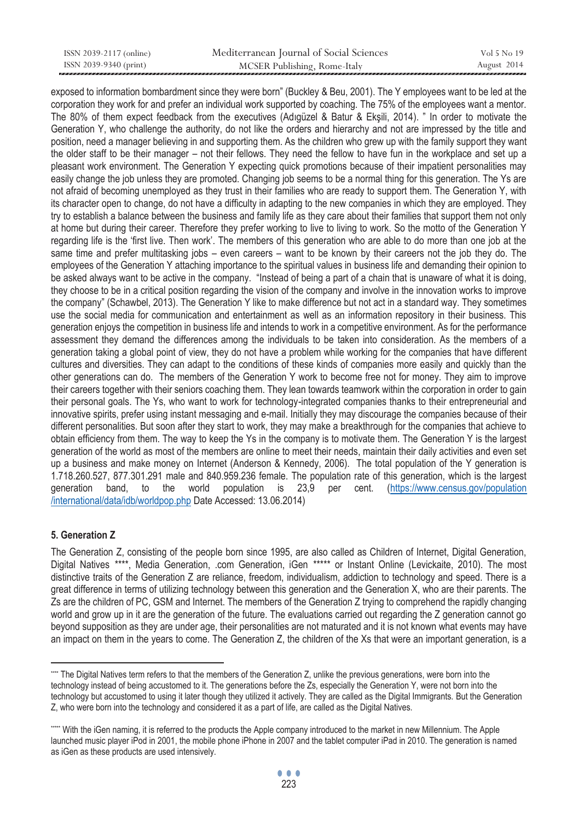| ISSN 2039-2117 (online) | Mediterranean Journal of Social Sciences | Vol 5 No 19 |
|-------------------------|------------------------------------------|-------------|
| ISSN 2039-9340 (print)  | MCSER Publishing, Rome-Italy             | August 2014 |

exposed to information bombardment since they were born" (Buckley & Beu, 2001). The Y employees want to be led at the corporation they work for and prefer an individual work supported by coaching. The 75% of the employees want a mentor. The 80% of them expect feedback from the executives (Adıgüzel & Batur & Ekşili, 2014). " In order to motivate the Generation Y, who challenge the authority, do not like the orders and hierarchy and not are impressed by the title and position, need a manager believing in and supporting them. As the children who grew up with the family support they want the older staff to be their manager – not their fellows. They need the fellow to have fun in the workplace and set up a pleasant work environment. The Generation Y expecting quick promotions because of their impatient personalities may easily change the job unless they are promoted. Changing job seems to be a normal thing for this generation. The Ys are not afraid of becoming unemployed as they trust in their families who are ready to support them. The Generation Y, with its character open to change, do not have a difficulty in adapting to the new companies in which they are employed. They try to establish a balance between the business and family life as they care about their families that support them not only at home but during their career. Therefore they prefer working to live to living to work. So the motto of the Generation Y regarding life is the 'first live. Then work'. The members of this generation who are able to do more than one job at the same time and prefer multitasking jobs – even careers – want to be known by their careers not the job they do. The employees of the Generation Y attaching importance to the spiritual values in business life and demanding their opinion to be asked always want to be active in the company. "Instead of being a part of a chain that is unaware of what it is doing, they choose to be in a critical position regarding the vision of the company and involve in the innovation works to improve the company" (Schawbel, 2013). The Generation Y like to make difference but not act in a standard way. They sometimes use the social media for communication and entertainment as well as an information repository in their business. This generation enjoys the competition in business life and intends to work in a competitive environment. As for the performance assessment they demand the differences among the individuals to be taken into consideration. As the members of a generation taking a global point of view, they do not have a problem while working for the companies that have different cultures and diversities. They can adapt to the conditions of these kinds of companies more easily and quickly than the other generations can do. The members of the Generation Y work to become free not for money. They aim to improve their careers together with their seniors coaching them. They lean towards teamwork within the corporation in order to gain their personal goals. The Ys, who want to work for technology-integrated companies thanks to their entrepreneurial and innovative spirits, prefer using instant messaging and e-mail. Initially they may discourage the companies because of their different personalities. But soon after they start to work, they may make a breakthrough for the companies that achieve to obtain efficiency from them. The way to keep the Ys in the company is to motivate them. The Generation Y is the largest generation of the world as most of the members are online to meet their needs, maintain their daily activities and even set up a business and make money on Internet (Anderson & Kennedy, 2006). The total population of the Y generation is 1.718.260.527, 877.301.291 male and 840.959.236 female. The population rate of this generation, which is the largest generation band, to the world population is 23,9 per cent. (https://www.census.gov/population /international/data/idb/worldpop.php Date Accessed: 13.06.2014)

# **5. Generation Z**

The Generation Z, consisting of the people born since 1995, are also called as Children of Internet, Digital Generation, Digital Natives \*\*\*\*, Media Generation, .com Generation, iGen \*\*\*\*\* or Instant Online (Levickaite, 2010). The most distinctive traits of the Generation Z are reliance, freedom, individualism, addiction to technology and speed. There is a great difference in terms of utilizing technology between this generation and the Generation X, who are their parents. The Zs are the children of PC, GSM and Internet. The members of the Generation Z trying to comprehend the rapidly changing world and grow up in it are the generation of the future. The evaluations carried out regarding the Z generation cannot go beyond supposition as they are under age, their personalities are not maturated and it is not known what events may have an impact on them in the years to come. The Generation Z, the children of the Xs that were an important generation, is a

 $\overline{a}$ The Digital Natives term refers to that the members of the Generation Z, unlike the previous generations, were born into the technology instead of being accustomed to it. The generations before the Zs, especially the Generation Y, were not born into the technology but accustomed to using it later though they utilized it actively. They are called as the Digital Immigrants. But the Generation Z, who were born into the technology and considered it as a part of life, are called as the Digital Natives.

<sup>\*\*\*\*</sup> With the iGen naming, it is referred to the products the Apple company introduced to the market in new Millennium. The Apple launched music player iPod in 2001, the mobile phone iPhone in 2007 and the tablet computer iPad in 2010. The generation is named as iGen as these products are used intensively.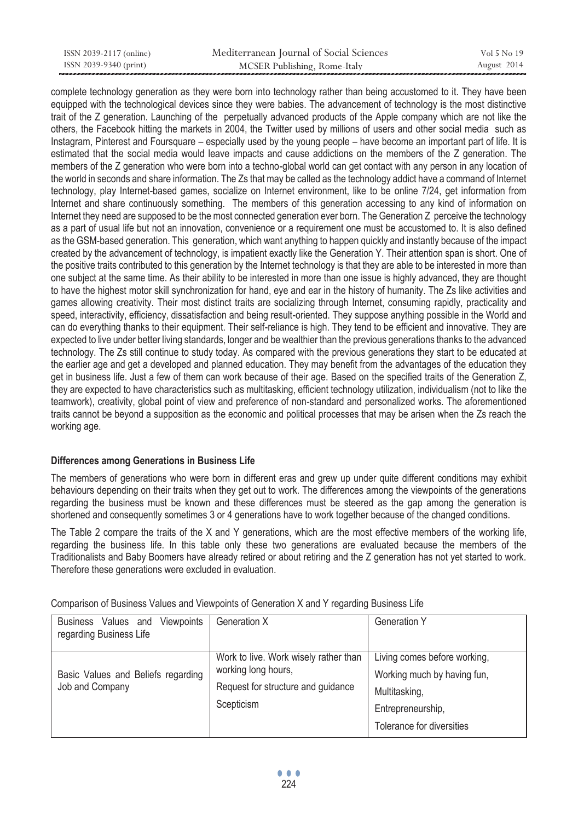| ISSN 2039-2117 (online) | Mediterranean Journal of Social Sciences | Vol 5 No 19 |
|-------------------------|------------------------------------------|-------------|
| ISSN 2039-9340 (print)  | MCSER Publishing, Rome-Italy             | August 2014 |

complete technology generation as they were born into technology rather than being accustomed to it. They have been equipped with the technological devices since they were babies. The advancement of technology is the most distinctive trait of the Z generation. Launching of the perpetually advanced products of the Apple company which are not like the others, the Facebook hitting the markets in 2004, the Twitter used by millions of users and other social media such as Instagram, Pinterest and Foursquare – especially used by the young people – have become an important part of life. It is estimated that the social media would leave impacts and cause addictions on the members of the Z generation. The members of the Z generation who were born into a techno-global world can get contact with any person in any location of the world in seconds and share information. The Zs that may be called as the technology addict have a command of Internet technology, play Internet-based games, socialize on Internet environment, like to be online 7/24, get information from Internet and share continuously something. The members of this generation accessing to any kind of information on Internet they need are supposed to be the most connected generation ever born. The Generation Z perceive the technology as a part of usual life but not an innovation, convenience or a requirement one must be accustomed to. It is also defined as the GSM-based generation. This generation, which want anything to happen quickly and instantly because of the impact created by the advancement of technology, is impatient exactly like the Generation Y. Their attention span is short. One of the positive traits contributed to this generation by the Internet technology is that they are able to be interested in more than one subject at the same time. As their ability to be interested in more than one issue is highly advanced, they are thought to have the highest motor skill synchronization for hand, eye and ear in the history of humanity. The Zs like activities and games allowing creativity. Their most distinct traits are socializing through Internet, consuming rapidly, practicality and speed, interactivity, efficiency, dissatisfaction and being result-oriented. They suppose anything possible in the World and can do everything thanks to their equipment. Their self-reliance is high. They tend to be efficient and innovative. They are expected to live under better living standards, longer and be wealthier than the previous generations thanks to the advanced technology. The Zs still continue to study today. As compared with the previous generations they start to be educated at the earlier age and get a developed and planned education. They may benefit from the advantages of the education they get in business life. Just a few of them can work because of their age. Based on the specified traits of the Generation Z, they are expected to have characteristics such as multitasking, efficient technology utilization, individualism (not to like the teamwork), creativity, global point of view and preference of non-standard and personalized works. The aforementioned traits cannot be beyond a supposition as the economic and political processes that may be arisen when the Zs reach the working age.

# **Differences among Generations in Business Life**

The members of generations who were born in different eras and grew up under quite different conditions may exhibit behaviours depending on their traits when they get out to work. The differences among the viewpoints of the generations regarding the business must be known and these differences must be steered as the gap among the generation is shortened and consequently sometimes 3 or 4 generations have to work together because of the changed conditions.

The Table 2 compare the traits of the X and Y generations, which are the most effective members of the working life, regarding the business life. In this table only these two generations are evaluated because the members of the Traditionalists and Baby Boomers have already retired or about retiring and the Z generation has not yet started to work. Therefore these generations were excluded in evaluation.

| Business Values and Viewpoints<br>regarding Business Life | <b>Generation X</b>                                                                                              | <b>Generation Y</b>                                                                                                            |
|-----------------------------------------------------------|------------------------------------------------------------------------------------------------------------------|--------------------------------------------------------------------------------------------------------------------------------|
| Basic Values and Beliefs regarding<br>Job and Company     | Work to live. Work wisely rather than<br>working long hours,<br>Request for structure and guidance<br>Scepticism | Living comes before working,<br>Working much by having fun,<br>Multitasking,<br>Entrepreneurship,<br>Tolerance for diversities |

Comparison of Business Values and Viewpoints of Generation X and Y regarding Business Life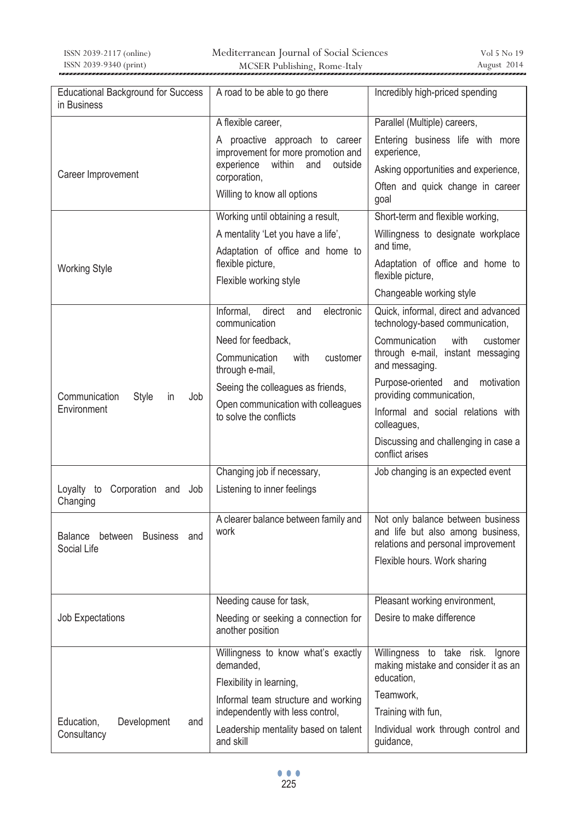| <b>Educational Background for Success</b><br>in Business | A road to be able to go there                                        | Incredibly high-priced spending                                          |
|----------------------------------------------------------|----------------------------------------------------------------------|--------------------------------------------------------------------------|
|                                                          | A flexible career,                                                   | Parallel (Multiple) careers,                                             |
|                                                          | A proactive approach to career<br>improvement for more promotion and | Entering business life with more<br>experience,                          |
| Career Improvement                                       | experience<br>within and<br>outside<br>corporation,                  | Asking opportunities and experience,                                     |
|                                                          | Willing to know all options                                          | Often and quick change in career<br>goal                                 |
|                                                          | Working until obtaining a result,                                    | Short-term and flexible working,                                         |
|                                                          | A mentality 'Let you have a life',                                   | Willingness to designate workplace                                       |
|                                                          | Adaptation of office and home to                                     | and time,                                                                |
| <b>Working Style</b>                                     | flexible picture,<br>Flexible working style                          | Adaptation of office and home to<br>flexible picture,                    |
|                                                          |                                                                      | Changeable working style                                                 |
|                                                          | Informal,<br>direct<br>electronic<br>and<br>communication            | Quick, informal, direct and advanced<br>technology-based communication,  |
|                                                          | Need for feedback.                                                   | Communication<br>with<br>customer                                        |
|                                                          | Communication<br>with<br>customer<br>through e-mail,                 | through e-mail, instant messaging<br>and messaging.                      |
| Communication<br>Style<br>Job<br>in                      | Seeing the colleagues as friends,                                    | motivation<br>Purpose-oriented<br>and<br>providing communication,        |
| Environment                                              | Open communication with colleagues<br>to solve the conflicts         | Informal and social relations with<br>colleagues,                        |
|                                                          |                                                                      | Discussing and challenging in case a<br>conflict arises                  |
|                                                          | Changing job if necessary,                                           | Job changing is an expected event                                        |
| Loyalty to<br>Corporation and Job<br>Changing            | Listening to inner feelings                                          |                                                                          |
|                                                          | A clearer balance between family and<br>work                         | Not only balance between business<br>and life but also among business,   |
| Balance<br>between<br>Business<br>and<br>Social Life     |                                                                      | relations and personal improvement                                       |
|                                                          |                                                                      | Flexible hours. Work sharing                                             |
|                                                          |                                                                      |                                                                          |
|                                                          | Needing cause for task,                                              | Pleasant working environment,                                            |
| <b>Job Expectations</b>                                  | Needing or seeking a connection for<br>another position              | Desire to make difference                                                |
|                                                          |                                                                      |                                                                          |
|                                                          | Willingness to know what's exactly<br>demanded,                      | Willingness to take risk. Ignore<br>making mistake and consider it as an |
|                                                          | Flexibility in learning,                                             | education,                                                               |
|                                                          | Informal team structure and working                                  | Teamwork,                                                                |
| Education,<br>Development<br>and                         | independently with less control,                                     | Training with fun,                                                       |
| Consultancy                                              | Leadership mentality based on talent<br>and skill                    | Individual work through control and<br>guidance,                         |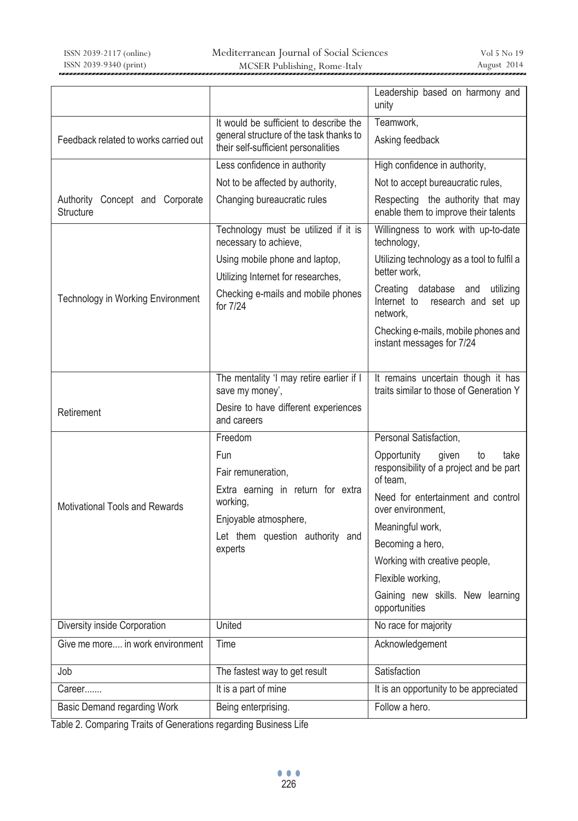|                                              |                                                                                | Leadership based on harmony and<br>unity                                       |
|----------------------------------------------|--------------------------------------------------------------------------------|--------------------------------------------------------------------------------|
|                                              | It would be sufficient to describe the                                         | Teamwork,                                                                      |
| Feedback related to works carried out        | general structure of the task thanks to<br>their self-sufficient personalities | Asking feedback                                                                |
|                                              | Less confidence in authority                                                   | High confidence in authority,                                                  |
|                                              | Not to be affected by authority,                                               | Not to accept bureaucratic rules,                                              |
| Authority Concept and Corporate<br>Structure | Changing bureaucratic rules                                                    | Respecting the authority that may<br>enable them to improve their talents      |
|                                              | Technology must be utilized if it is<br>necessary to achieve,                  | Willingness to work with up-to-date<br>technology,                             |
|                                              | Using mobile phone and laptop,                                                 | Utilizing technology as a tool to fulfil a                                     |
|                                              | Utilizing Internet for researches,                                             | better work.                                                                   |
| Technology in Working Environment            | Checking e-mails and mobile phones<br>for 7/24                                 | Creating database and utilizing<br>Internet to research and set up<br>network. |
|                                              |                                                                                | Checking e-mails, mobile phones and<br>instant messages for 7/24               |
|                                              | The mentality 'I may retire earlier if I<br>save my money',                    | It remains uncertain though it has<br>traits similar to those of Generation Y  |
| Retirement                                   | Desire to have different experiences<br>and careers                            |                                                                                |
|                                              | Freedom                                                                        | Personal Satisfaction,                                                         |
|                                              | Fun<br>Fair remuneration,                                                      | Opportunity<br>given<br>take<br>to<br>responsibility of a project and be part  |
|                                              | Extra earning in return for extra                                              | of team,                                                                       |
| Motivational Tools and Rewards               | working,                                                                       | Need for entertainment and control<br>over environment.                        |
|                                              | Enjoyable atmosphere,                                                          | Meaningful work,                                                               |
|                                              | Let them question authority and<br>experts                                     | Becoming a hero,                                                               |
|                                              |                                                                                | Working with creative people,                                                  |
|                                              |                                                                                | Flexible working,                                                              |
|                                              |                                                                                | Gaining new skills. New learning<br>opportunities                              |
| Diversity inside Corporation                 | United                                                                         | No race for majority                                                           |
| Give me more in work environment             | Time                                                                           | Acknowledgement                                                                |
| Job                                          |                                                                                |                                                                                |
|                                              | The fastest way to get result                                                  | Satisfaction                                                                   |
| Career                                       | It is a part of mine                                                           | It is an opportunity to be appreciated                                         |

Table 2. Comparing Traits of Generations regarding Business Life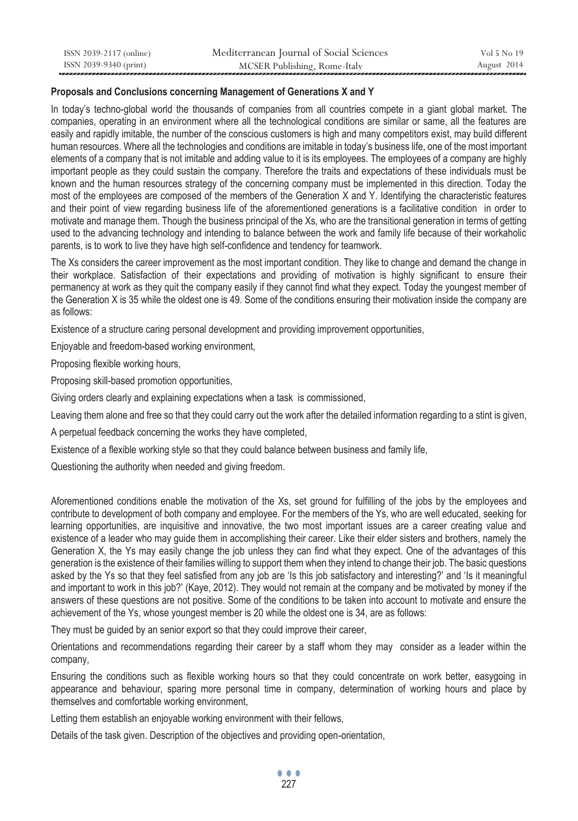| ISSN 2039-2117 (online) | Mediterranean Journal of Social Sciences | Vol 5 No 19 |
|-------------------------|------------------------------------------|-------------|
| ISSN 2039-9340 (print)  | MCSER Publishing, Rome-Italy             | August 2014 |

### **Proposals and Conclusions concerning Management of Generations X and Y**

In today's techno-global world the thousands of companies from all countries compete in a giant global market. The companies, operating in an environment where all the technological conditions are similar or same, all the features are easily and rapidly imitable, the number of the conscious customers is high and many competitors exist, may build different human resources. Where all the technologies and conditions are imitable in today's business life, one of the most important elements of a company that is not imitable and adding value to it is its employees. The employees of a company are highly important people as they could sustain the company. Therefore the traits and expectations of these individuals must be known and the human resources strategy of the concerning company must be implemented in this direction. Today the most of the employees are composed of the members of the Generation X and Y. Identifying the characteristic features and their point of view regarding business life of the aforementioned generations is a facilitative condition in order to motivate and manage them. Though the business principal of the Xs, who are the transitional generation in terms of getting used to the advancing technology and intending to balance between the work and family life because of their workaholic parents, is to work to live they have high self-confidence and tendency for teamwork.

The Xs considers the career improvement as the most important condition. They like to change and demand the change in their workplace. Satisfaction of their expectations and providing of motivation is highly significant to ensure their permanency at work as they quit the company easily if they cannot find what they expect. Today the youngest member of the Generation X is 35 while the oldest one is 49. Some of the conditions ensuring their motivation inside the company are as follows:

Existence of a structure caring personal development and providing improvement opportunities,

Enjoyable and freedom-based working environment,

Proposing flexible working hours,

Proposing skill-based promotion opportunities,

Giving orders clearly and explaining expectations when a task is commissioned,

Leaving them alone and free so that they could carry out the work after the detailed information regarding to a stint is given,

A perpetual feedback concerning the works they have completed,

Existence of a flexible working style so that they could balance between business and family life,

Questioning the authority when needed and giving freedom.

Aforementioned conditions enable the motivation of the Xs, set ground for fulfilling of the jobs by the employees and contribute to development of both company and employee. For the members of the Ys, who are well educated, seeking for learning opportunities, are inquisitive and innovative, the two most important issues are a career creating value and existence of a leader who may guide them in accomplishing their career. Like their elder sisters and brothers, namely the Generation X, the Ys may easily change the job unless they can find what they expect. One of the advantages of this generation is the existence of their families willing to support them when they intend to change their job. The basic questions asked by the Ys so that they feel satisfied from any job are 'Is this job satisfactory and interesting?' and 'Is it meaningful and important to work in this job?' (Kaye, 2012). They would not remain at the company and be motivated by money if the answers of these questions are not positive. Some of the conditions to be taken into account to motivate and ensure the achievement of the Ys, whose youngest member is 20 while the oldest one is 34, are as follows:

They must be guided by an senior export so that they could improve their career,

Orientations and recommendations regarding their career by a staff whom they may consider as a leader within the company,

Ensuring the conditions such as flexible working hours so that they could concentrate on work better, easygoing in appearance and behaviour, sparing more personal time in company, determination of working hours and place by themselves and comfortable working environment,

Letting them establish an enjoyable working environment with their fellows,

Details of the task given. Description of the objectives and providing open-orientation,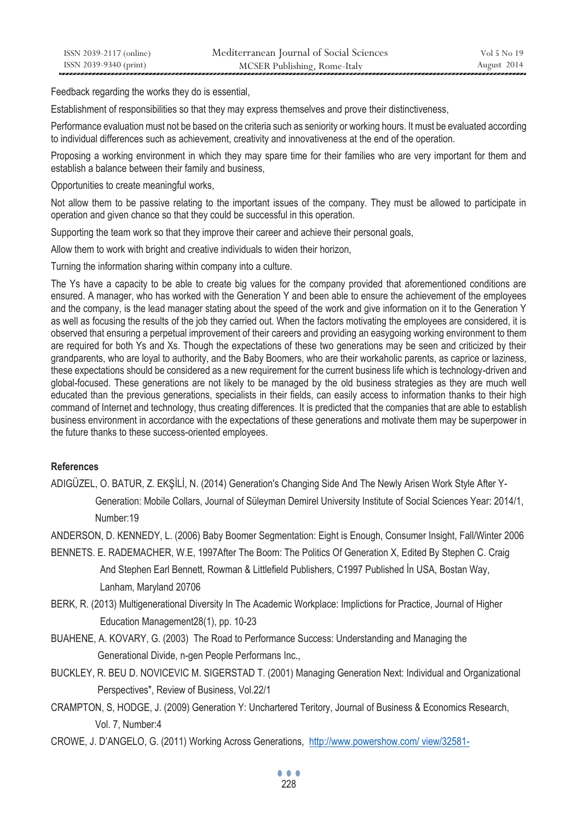| ISSN 2039-2117 (online) | Mediterranean Journal of Social Sciences | Vol 5 No 19 |
|-------------------------|------------------------------------------|-------------|
| ISSN 2039-9340 (print)  | MCSER Publishing, Rome-Italy             | August 2014 |

Feedback regarding the works they do is essential,

Establishment of responsibilities so that they may express themselves and prove their distinctiveness,

Performance evaluation must not be based on the criteria such as seniority or working hours. It must be evaluated according to individual differences such as achievement, creativity and innovativeness at the end of the operation.

Proposing a working environment in which they may spare time for their families who are very important for them and establish a balance between their family and business,

Opportunities to create meaningful works,

Not allow them to be passive relating to the important issues of the company. They must be allowed to participate in operation and given chance so that they could be successful in this operation.

Supporting the team work so that they improve their career and achieve their personal goals,

Allow them to work with bright and creative individuals to widen their horizon,

Turning the information sharing within company into a culture.

The Ys have a capacity to be able to create big values for the company provided that aforementioned conditions are ensured. A manager, who has worked with the Generation Y and been able to ensure the achievement of the employees and the company, is the lead manager stating about the speed of the work and give information on it to the Generation Y as well as focusing the results of the job they carried out. When the factors motivating the employees are considered, it is observed that ensuring a perpetual improvement of their careers and providing an easygoing working environment to them are required for both Ys and Xs. Though the expectations of these two generations may be seen and criticized by their grandparents, who are loyal to authority, and the Baby Boomers, who are their workaholic parents, as caprice or laziness, these expectations should be considered as a new requirement for the current business life which is technology-driven and global-focused. These generations are not likely to be managed by the old business strategies as they are much well educated than the previous generations, specialists in their fields, can easily access to information thanks to their high command of Internet and technology, thus creating differences. It is predicted that the companies that are able to establish business environment in accordance with the expectations of these generations and motivate them may be superpower in the future thanks to these success-oriented employees.

### **References**

ADIGÜZEL, O. BATUR, Z. EKŞİLİ, N. (2014) Generation's Changing Side And The Newly Arisen Work Style After Y-

 Generation: Mobile Collars, Journal of Süleyman Demirel University Institute of Social Sciences Year: 2014/1, Number:19

ANDERSON, D. KENNEDY, L. (2006) Baby Boomer Segmentation: Eight is Enough, Consumer Insight, Fall/Winter 2006

- BENNETS. E. RADEMACHER, W.E, 1997After The Boom: The Politics Of Generation X, Edited By Stephen C. Craig And Stephen Earl Bennett, Rowman & Littlefield Publishers, C1997 Published İn USA, Bostan Way, Lanham, Maryland 20706
- BERK, R. (2013) Multigenerational Diversity In The Academic Workplace: Implictions for Practice, Journal of Higher Education Management28(1), pp. 10-23
- BUAHENE, A. KOVARY, G. (2003) The Road to Performance Success: Understanding and Managing the Generational Divide, n-gen People Performans Inc.,
- BUCKLEY, R. BEU D. NOVICEVIC M. SIGERSTAD T. (2001) Managing Generation Next: Individual and Organizational Perspectives", Review of Business, Vol.22/1
- CRAMPTON, S, HODGE, J. (2009) Generation Y: Unchartered Teritory, Journal of Business & Economics Research, Vol. 7, Number:4
- CROWE, J. D'ANGELO, G. (2011) Working Across Generations, http://www.powershow.com/ view/32581-